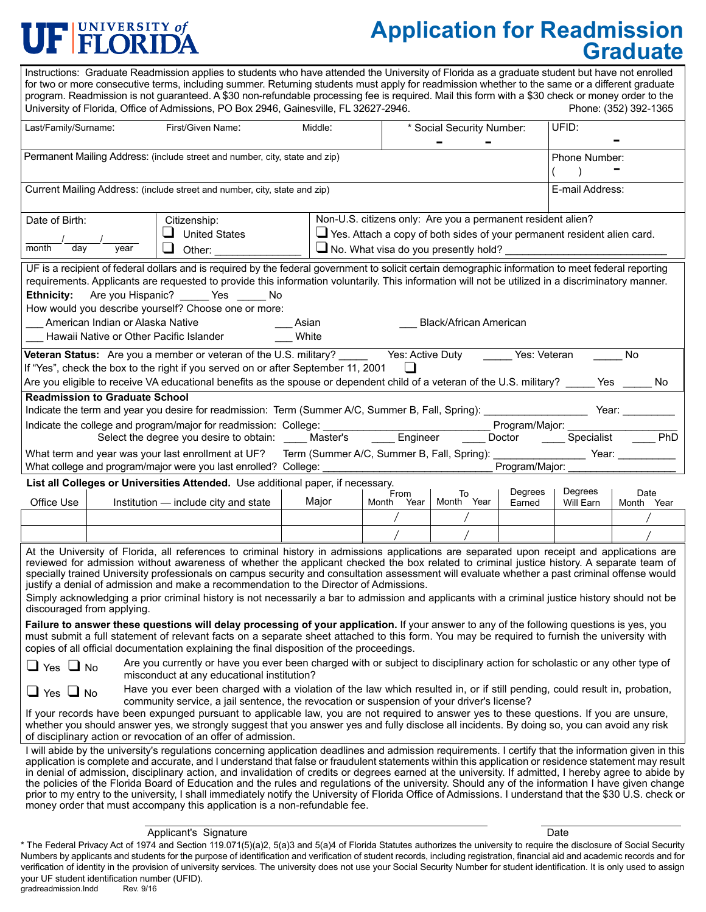## FUNIVERSITY of

# **Application for Readmission Graduate**

I will abide by the university's regulations concerning application deadlines and admission requirements. I certify that the information given in this application is complete and accurate, and I understand that false or fraudulent statements within this application or residence statement may result in denial of admission, disciplinary action, and invalidation of credits or degrees earned at the university. If admitted, I hereby agree to abide by the policies of the Florida Board of Education and the rules and regulations of the university. Should any of the information I have given change prior to my entry to the university, I shall immediately notify the University of Florida Office of Admissions. I understand that the \$30 U.S. check or money order that must accompany this application is a non-refundable fee. ❑ Yes ❑ No ❑ Yes ❑ No **Failure to answer these questions will delay processing of your application.** If your answer to any of the following questions is yes, you must submit a full statement of relevant facts on a separate sheet attached to this form. You may be required to furnish the university with copies of all official documentation explaining the final disposition of the proceedings. Are you currently or have you ever been charged with or subject to disciplinary action for scholastic or any other type of misconduct at any educational institution? If your records have been expunged pursuant to applicable law, you are not required to answer yes to these questions. If you are unsure, whether you should answer yes, we strongly suggest that you answer yes and fully disclose all incidents. By doing so, you can avoid any risk of disciplinary action or revocation of an offer of admission. Have you ever been charged with a violation of the law which resulted in, or if still pending, could result in, probation, community service, a jail sentence, the revocation or suspension of your driver's license?  $-$ Instructions: Graduate Readmission applies to students who have attended the University of Florida as a graduate student but have not enrolled for two or more consecutive terms, including summer. Returning students must apply for readmission whether to the same or a different graduate program. Readmission is not guaranteed. A \$30 non-refundable processing fee is required. Mail this form with a \$30 check or money order to the<br>University of Florida, Office of Admissions, PO Box 2946, Gainesville, FL 32627 University of Florida, Office of Admissions, PO Box 2946, Gainesville, FL 32627-2946. Last/Family/Surname: First/Given Name: Middle: the Middle: the Model Security Number: UFID: Current Mailing Address: (include street and number, city, state and zip) Permanent Mailing Address: (include street and number, city, state and zip) - Phone Number:<br>( ) E-mail Address: ❑ United States  $\Box$  Other: Date of Birth: Citizenship:  $\frac{1}{2}$  , where  $\frac{1}{2}$  , where  $\frac{1}{2}$  , where  $\frac{1}{2}$  , where  $\frac{1}{2}$  , where  $\frac{1}{2}$  , where  $\frac{1}{2}$  , where  $\frac{1}{2}$  , where  $\frac{1}{2}$  , where  $\frac{1}{2}$  , where  $\frac{1}{2}$  , where  $\frac{1}{2}$  , where  $\frac{1$ month day year Non-U.S. citizens only: Are you a permanent resident alien? ❑ Yes. Attach a copy of both sides of your permanent resident alien card.  $\Box$  No. What visa do you presently hold? **List all Colleges or Universities Attended.** Use additional paper, if necessary.<br>F Office Use  $\parallel$  Institution — include city and state / / / / From To<br>Month Year Month Year Major Degrees Will Earn Degrees Earned ֦ Month Year / / Date UF is a recipient of federal dollars and is required by the federal government to solicit certain demographic information to meet federal reporting requirements. Applicants are requested to provide this information voluntarily. This information will not be utilized in a discriminatory manner. **Ethnicity:** Are you Hispanic? \_\_\_\_\_ Yes \_\_\_\_\_ No How would you describe yourself? Choose one or more: American Indian or Alaska Native **American American American American American** American American American American American American American American American American American American American American American America Hawaii Native or Other Pacific Islander **White Readmission to Graduate School** Indicate the term and year you desire for readmission: Term (Summer A/C, Summer B, Fall, Spring): Year: Indicate the college and program/major for readmission: College: \_\_\_\_\_\_\_\_\_\_\_\_\_\_\_\_\_\_\_\_\_\_\_\_\_\_\_\_\_ Program/Major: \_\_\_\_\_\_\_\_\_\_\_\_\_\_\_\_\_\_\_ Select the degree you desire to obtain: \_\_\_\_\_ Master's \_\_\_\_\_\_ Engineer \_\_\_\_\_ Doctor \_\_\_\_\_ Specialist What term and year was your last enrollment at UF? Term (Summer A/C, Summer B, Fall, Spring): \_\_\_\_\_\_\_\_\_\_\_\_\_\_\_ Year: What college and program/major were you last enrolled? College: example of the college of program/Major: **Veteran Status:** Are you a member or veteran of the U.S. military? Yes: Active Duty Yes: Veteran No If "Yes", check the box to the right if you served on or after September 11, 2001 Are you eligible to receive VA educational benefits as the spouse or dependent child of a veteran of the U.S. military? Yes No ❑ At the University of Florida, all references to criminal history in admissions applications are separated upon receipt and applications are reviewed for admission without awareness of whether the applicant checked the box related to criminal justice history. A separate team of specially trained University professionals on campus security and consultation assessment will evaluate whether a past criminal offense would justify a denial of admission and make a recommendation to the Director of Admissions. Simply acknowledging a prior criminal history is not necessarily a bar to admission and applicants with a criminal justice history should not be discouraged from applying.

Applicant's Signature Date

\* The Federal Privacy Act of 1974 and Section 119.071(5)(a)2, 5(a)3 and 5(a)4 of Florida Statutes authorizes the university to require the disclosure of Social Security Numbers by applicants and students for the purpose of identification and verification of student records, including registration, financial aid and academic records and for verification of identity in the provision of university services. The university does not use your Social Security Number for student identification. It is only used to assign your UF student identification number (UFID).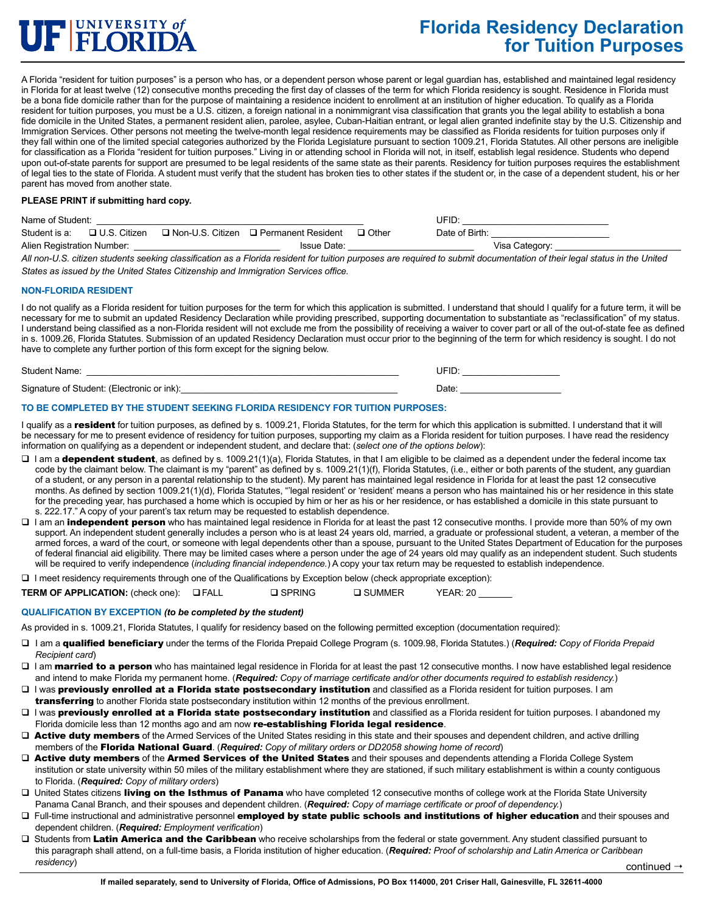

### **Florida Residency Declaration for Tuition Purposes**

A Florida "resident for tuition purposes" is a person who has, or a dependent person whose parent or legal guardian has, established and maintained legal residency in Florida for at least twelve (12) consecutive months preceding the first day of classes of the term for which Florida residency is sought. Residence in Florida must be a bona fide domicile rather than for the purpose of maintaining a residence incident to enrollment at an institution of higher education. To qualify as a Florida resident for tuition purposes, you must be a U.S. citizen, a foreign national in a nonimmigrant visa classification that grants you the legal ability to establish a bona fide domicile in the United States, a permanent resident alien, parolee, asylee, Cuban-Haitian entrant, or legal alien granted indefinite stay by the U.S. Citizenship and Immigration Services. Other persons not meeting the twelve-month legal residence requirements may be classified as Florida residents for tuition purposes only if they fall within one of the limited special categories authorized by the Florida Legislature pursuant to section 1009.21, Florida Statutes. All other persons are ineligible for classification as a Florida "resident for tuition purposes." Living in or attending school in Florida will not, in itself, establish legal residence. Students who depend upon out-of-state parents for support are presumed to be legal residents of the same state as their parents. Residency for tuition purposes requires the establishment of legal ties to the state of Florida. A student must verify that the student has broken ties to other states if the student or, in the case of a dependent student, his or her parent has moved from another state.

#### **PLEASE PRINT if submitting hard copy.**

| Name of Student:           |                |                    |                      | UFID    |                |                |
|----------------------------|----------------|--------------------|----------------------|---------|----------------|----------------|
| Student is a:              | □ U.S. Citizen | □ Non-U.S. Citizen | □ Permanent Resident | コ Other | Date of Birth: |                |
| Alien Registration Number: |                |                    | <b>Issue Date:</b>   |         |                | Visa Category: |

*All non-U.S. citizen students seeking classification as a Florida resident for tuition purposes are required to submit documentation of their legal status in the United States as issued by the United States Citizenship and Immigration Services office.*

#### **NON-FLORIDA RESIDENT**

I do not qualify as a Florida resident for tuition purposes for the term for which this application is submitted. I understand that should I qualify for a future term, it will be necessary for me to submit an updated Residency Declaration while providing prescribed, supporting documentation to substantiate as "reclassification" of my status. I understand being classified as a non-Florida resident will not exclude me from the possibility of receiving a waiver to cover part or all of the out-of-state fee as defined in s. 1009.26, Florida Statutes. Submission of an updated Residency Declaration must occur prior to the beginning of the term for which residency is sought. I do not have to complete any further portion of this form except for the signing below.

| Student Name:                              | JFIL<br>ᄟ |
|--------------------------------------------|-----------|
| Signature of Student: (Electronic or ink): | Date:     |

#### **TO BE COMPLETED BY THE STUDENT SEEKING FLORIDA RESIDENCY FOR TUITION PURPOSES:**

I qualify as a resident for tuition purposes, as defined by s. 1009.21, Florida Statutes, for the term for which this application is submitted. I understand that it will be necessary for me to present evidence of residency for tuition purposes, supporting my claim as a Florida resident for tuition purposes. I have read the residency information on qualifying as a dependent or independent student, and declare that: (*select one of the options below*):

- □ I am a dependent student, as defined by s. 1009.21(1)(a), Florida Statutes, in that I am eligible to be claimed as a dependent under the federal income tax code by the claimant below. The claimant is my "parent" as defined by s. 1009.21(1)(f), Florida Statutes, (i.e., either or both parents of the student, any guardian of a student, or any person in a parental relationship to the student). My parent has maintained legal residence in Florida for at least the past 12 consecutive months. As defined by section 1009.21(1)(d), Florida Statutes, "'legal resident' or 'resident' means a person who has maintained his or her residence in this state for the preceding year, has purchased a home which is occupied by him or her as his or her residence, or has established a domicile in this state pursuant to s. 222.17." A copy of your parent's tax return may be requested to establish dependence.
- I am an independent person who has maintained legal residence in Florida for at least the past 12 consecutive months. I provide more than 50% of my own support. An independent student generally includes a person who is at least 24 years old, married, a graduate or professional student, a veteran, a member of the armed forces, a ward of the court, or someone with legal dependents other than a spouse, pursuant to the United States Department of Education for the purposes of federal financial aid eligibility. There may be limited cases where a person under the age of 24 years old may qualify as an independent student. Such students will be required to verify independence (*including financial independence.*) A copy your tax return may be requested to establish independence.
- $\Box$  I meet residency requirements through one of the Qualifications by Exception below (check appropriate exception):

| <b>TERM OF APPLICATION: (check one):</b> | $\square$ FALL | □ SPRING | □ SUMMER | YEAR:20 |  |
|------------------------------------------|----------------|----------|----------|---------|--|
|------------------------------------------|----------------|----------|----------|---------|--|

#### **QUALIFICATION BY EXCEPTION** *(to be completed by the student)*

As provided in s. 1009.21, Florida Statutes, I qualify for residency based on the following permitted exception (documentation required):

- I am a qualified beneficiary under the terms of the Florida Prepaid College Program (s. 1009.98, Florida Statutes.) (*Required: Copy of Florida Prepaid Recipient card*)
- I am married to a person who has maintained legal residence in Florida for at least the past 12 consecutive months. I now have established legal residence and intend to make Florida my permanent home. (*Required: Copy of marriage certificate and/or other documents required to establish residency.*)
- □ I was previously enrolled at a Florida state postsecondary institution and classified as a Florida resident for tuition purposes. I am transferring to another Florida state postsecondary institution within 12 months of the previous enrollment.
- □ I was previously enrolled at a Florida state postsecondary institution and classified as a Florida resident for tuition purposes. I abandoned my Florida domicile less than 12 months ago and am now re-establishing Florida legal residence.
- □ Active duty members of the Armed Services of the United States residing in this state and their spouses and dependent children, and active drilling members of the Florida National Guard. (*Required: Copy of military orders or DD2058 showing home of record*)
- □ Active duty members of the Armed Services of the United States and their spouses and dependents attending a Florida College System institution or state university within 50 miles of the military establishment where they are stationed, if such military establishment is within a county contiguous to Florida. (*Required: Copy of military orders*)
- □ United States citizens living on the Isthmus of Panama who have completed 12 consecutive months of college work at the Florida State University Panama Canal Branch, and their spouses and dependent children. (*Required: Copy of marriage certificate or proof of dependency.*)
- □ Full-time instructional and administrative personnel employed by state public schools and institutions of higher education and their spouses and dependent children. (*Required: Employment verification*)
- Students from Latin America and the Caribbean who receive scholarships from the federal or state government. Any student classified pursuant to this paragraph shall attend, on a full-time basis, a Florida institution of higher education. (*Required: Proof of scholarship and Latin America or Caribbean residency*) continued 4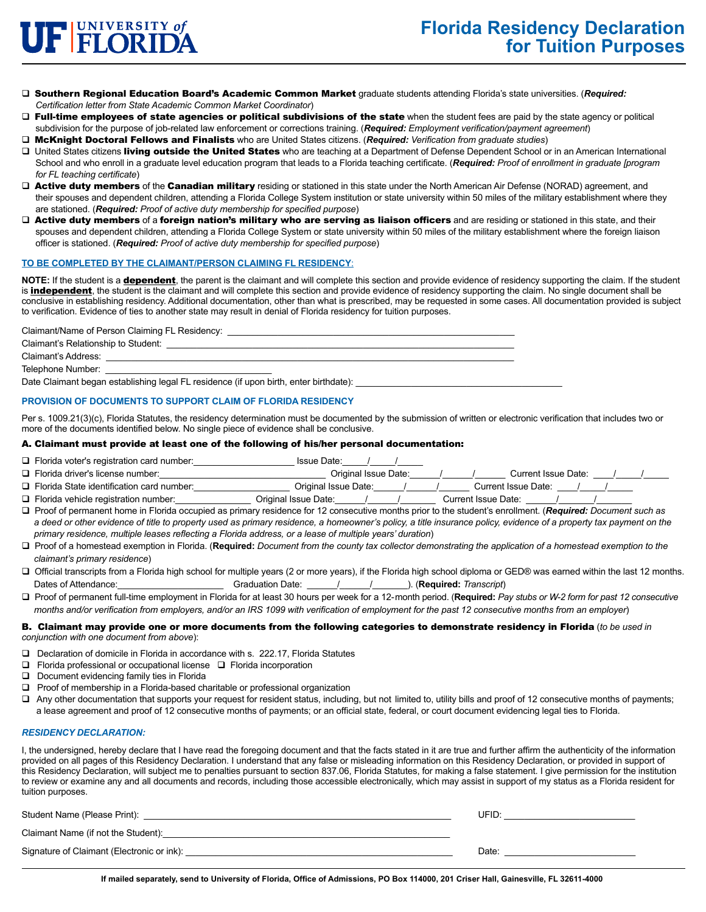

- Southern Regional Education Board's Academic Common Market graduate students attending Florida's state universities. (*Required: Certification letter from State Academic Common Market Coordinator*)
- $\Box$  Full-time employees of state agencies or political subdivisions of the state when the student fees are paid by the state agency or political subdivision for the purpose of job-related law enforcement or corrections training. (*Required: Employment verification/payment agreement*)
- McKnight Doctoral Fellows and Finalists who are United States citizens. (*Required: Verification from graduate studies*)
- □ United States citizens living outside the United States who are teaching at a Department of Defense Dependent School or in an American International School and who enroll in a graduate level education program that leads to a Florida teaching certificate. (*Required: Proof of enrollment in graduate [program for FL teaching certificate*)
- □ Active duty members of the Canadian military residing or stationed in this state under the North American Air Defense (NORAD) agreement, and their spouses and dependent children, attending a Florida College System institution or state university within 50 miles of the military establishment where they are stationed. (*Required: Proof of active duty membership for specified purpose*)
- D Active duty members of a foreign nation's military who are serving as liaison officers and are residing or stationed in this state, and their spouses and dependent children, attending a Florida College System or state university within 50 miles of the military establishment where the foreign liaison officer is stationed. (*Required: Proof of active duty membership for specified purpose*)

#### **TO BE COMPLETED BY THE CLAIMANT/PERSON CLAIMING FL RESIDENCY**:

NOTE: If the student is a **dependent**, the parent is the claimant and will complete this section and provide evidence of residency supporting the claim. If the student is **independent**, the student is the claimant and will complete this section and provide evidence of residency supporting the claim. No single document shall be conclusive in establishing residency. Additional documentation, other than what is prescribed, may be requested in some cases. All documentation provided is subject to verification. Evidence of ties to another state may result in denial of Florida residency for tuition purposes.

Claimant/Name of Person Claiming FL Residency:

Claimant's Relationship to Student: \_\_\_\_\_\_\_\_\_\_\_\_\_\_\_\_\_\_\_\_\_\_\_\_\_\_\_\_\_\_\_\_\_\_\_\_\_\_\_\_\_\_\_\_\_\_\_\_\_\_\_\_\_\_\_\_\_\_\_\_\_\_\_\_\_\_\_\_\_

Claimant's Address:

Telephone Number:

Date Claimant began establishing legal FL residence (if upon birth, enter birthdate):

#### **PROVISION OF DOCUMENTS TO SUPPORT CLAIM OF FLORIDA RESIDENCY**

Per s. 1009.21(3)(c), Florida Statutes, the residency determination must be documented by the submission of written or electronic verification that includes two or more of the documents identified below. No single piece of evidence shall be conclusive.

#### A. Claimant must provide at least one of the following of his/her personal documentation:

- □ Florida voter's registration card number: service and substitution of the late: the late: the late: the late:
- Florida driver's license number:\_\_\_\_\_\_\_\_\_\_\_\_\_\_\_\_\_\_\_\_\_\_\_\_\_\_\_\_\_\_\_\_\_ Original Issue Date:\_\_\_\_\_\_/\_\_\_\_\_\_/\_\_\_\_\_\_ Current Issue Date: \_\_\_\_/\_\_\_\_\_/\_\_\_\_\_
- Florida State identification card number:\_\_\_\_\_\_\_\_\_\_\_\_\_\_\_\_\_\_\_ Original Issue Date:\_\_\_\_\_\_/\_\_\_\_\_\_/\_\_\_\_\_\_ Current Issue Date: \_\_\_\_/\_\_\_\_\_/\_\_\_\_\_
- Florida vehicle registration number:\_\_\_\_\_\_\_\_\_\_\_\_\_\_\_ Original Issue Date:\_\_\_\_\_\_/\_\_\_\_\_\_/\_\_\_\_\_\_\_ Current Issue Date: \_\_\_\_\_\_/\_\_\_\_\_\_\_/\_\_\_\_\_\_\_
- Proof of permanent home in Florida occupied as primary residence for 12 consecutive months prior to the student's enrollment. (*Required: Document such as a deed or other evidence of title to property used as primary residence, a homeowner's policy, a title insurance policy, evidence of a property tax payment on the primary residence, multiple leases reflecting a Florida address, or a lease of multiple years' duration*)
- Proof of a homestead exemption in Florida. (**Required:** *Document from the county tax collector demonstrating the application of a homestead exemption to the claimant's primary residence*)
- □ Official transcripts from a Florida high school for multiple years (2 or more years), if the Florida high school diploma or GED® was earned within the last 12 months. Dates of Attendance:\_\_\_\_\_\_\_\_\_\_\_\_\_\_\_\_\_\_\_\_\_ Graduation Date: \_\_\_\_\_\_/\_\_\_\_\_\_/\_\_\_\_\_\_\_). (**Required:** *Transcript*)
- Proof of permanent full-time employment in Florida for at least 30 hours per week for a 12-month period. (**Required:** *Pay stubs or W-2 form for past 12 consecutive months and/or verification from employers, and/or an IRS 1099 with verification of employment for the past 12 consecutive months from an employer*)

#### B. Claimant may provide one or more documents from the following categories to demonstrate residency in Florida (*to be used in conjunction with one document from above*):

- □ Declaration of domicile in Florida in accordance with s. 222.17, Florida Statutes
- $\Box$  Florida professional or occupational license  $\Box$  Florida incorporation
- Document evidencing family ties in Florida
- $\Box$  Proof of membership in a Florida-based charitable or professional organization
- $\Box$  Any other documentation that supports your request for resident status, including, but not limited to, utility bills and proof of 12 consecutive months of payments; a lease agreement and proof of 12 consecutive months of payments; or an official state, federal, or court document evidencing legal ties to Florida.

#### *RESIDENCY DECLARATION:*

I, the undersigned, hereby declare that I have read the foregoing document and that the facts stated in it are true and further affirm the authenticity of the information provided on all pages of this Residency Declaration. I understand that any false or misleading information on this Residency Declaration, or provided in support of this Residency Declaration, will subject me to penalties pursuant to section 837.06, Florida Statutes, for making a false statement. I give permission for the institution to review or examine any and all documents and records, including those accessible electronically, which may assist in support of my status as a Florida resident for tuition purposes.

| Student Name (Please Print):               | UFID: |
|--------------------------------------------|-------|
| Claimant Name (if not the Student):        |       |
| Signature of Claimant (Electronic or ink): | Date: |